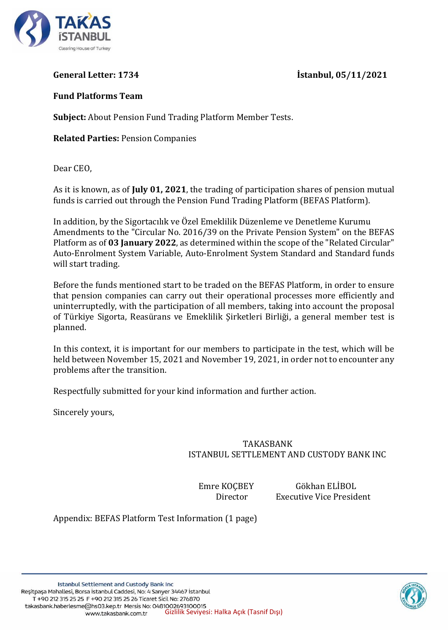

**General Letter: 1734 İstanbul, 05/11/2021**

## **Fund Platforms Team**

**Subject:** About Pension Fund Trading Platform Member Tests.

**Related Parties:** Pension Companies

Dear CEO,

As it is known, as of **July 01, 2021**, the trading of participation shares of pension mutual funds is carried out through the Pension Fund Trading Platform (BEFAS Platform).

In addition, by the Sigortacılık ve Özel Emeklilik Düzenleme ve Denetleme Kurumu Amendments to the "Circular No. 2016/39 on the Private Pension System" on the BEFAS Platform as of **03 January 2022**, as determined within the scope of the "Related Circular" Auto-Enrolment System Variable, Auto-Enrolment System Standard and Standard funds will start trading.

Before the funds mentioned start to be traded on the BEFAS Platform, in order to ensure that pension companies can carry out their operational processes more efficiently and uninterruptedly, with the participation of all members, taking into account the proposal of Türkiye Sigorta, Reasürans ve Emeklilik Şirketleri Birliği, a general member test is planned.

In this context, it is important for our members to participate in the test, which will be held between November 15, 2021 and November 19, 2021, in order not to encounter any problems after the transition.

Respectfully submitted for your kind information and further action.

Sincerely yours,

## TAKASBANK ISTANBUL SETTLEMENT AND CUSTODY BANK INC

Emre KOÇBEY Gökhan ELİBOL Director Executive Vice President

Appendix: BEFAS Platform Test Information (1 page)

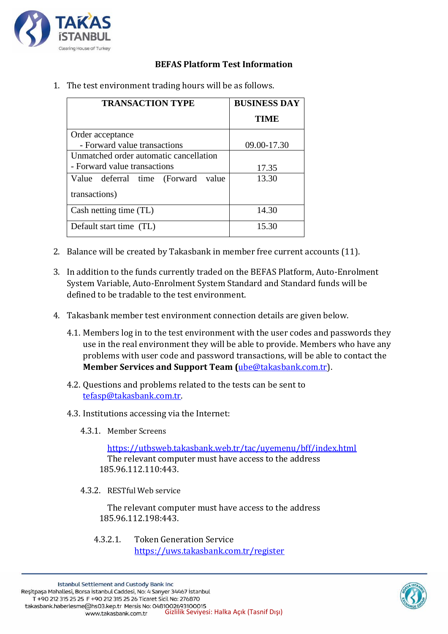

## **BEFAS Platform Test Information**

| <b>TRANSACTION TYPE</b>                | <b>BUSINESS DAY</b> |
|----------------------------------------|---------------------|
|                                        | <b>TIME</b>         |
| Order acceptance                       |                     |
| - Forward value transactions           | 09.00-17.30         |
| Unmatched order automatic cancellation |                     |
| - Forward value transactions           | 17.35               |
| Value deferral time (Forward<br>value  | 13.30               |
| transactions)                          |                     |
| Cash netting time (TL)                 | 14.30               |
| Default start time (TL)                | 15.30               |

1. The test environment trading hours will be as follows.

- 2. Balance will be created by Takasbank in member free current accounts (11).
- 3. In addition to the funds currently traded on the BEFAS Platform, Auto-Enrolment System Variable, Auto-Enrolment System Standard and Standard funds will be defined to be tradable to the test environment.
- 4. Takasbank member test environment connection details are given below.
	- 4.1. Members log in to the test environment with the user codes and passwords they use in the real environment they will be able to provide. Members who have any problems with user code and password transactions, will be able to contact the **Member Services and Support Team (**[ube@takasbank.com.tr\)](mailto:ube@takasbank.com.tr).
	- 4.2. Questions and problems related to the tests can be sent to [tefasp@takasbank.com.tr.](mailto:tefasp@takasbank.com.tr)
	- 4.3. Institutions accessing via the Internet:
		- 4.3.1. Member Screens

<https://utbsweb.takasbank.web.tr/tac/uyemenu/bff/index.html> The relevant computer must have access to the address 185.96.112.110:443.

4.3.2. RESTful Web service

The relevant computer must have access to the address 185.96.112.198:443.

4.3.2.1. Token Generation Service <https://uws.takasbank.com.tr/register>